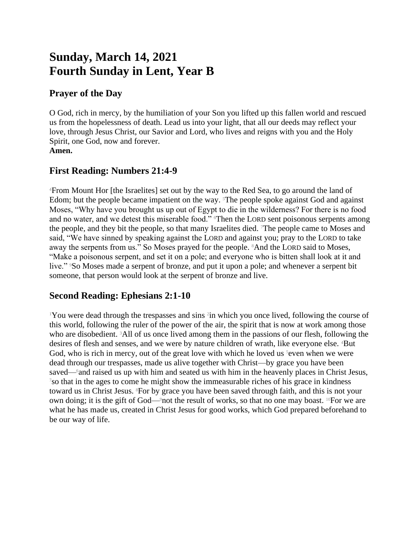# **Sunday, March 14, 2021 Fourth Sunday in Lent, Year B**

#### **Prayer of the Day**

O God, rich in mercy, by the humiliation of your Son you lifted up this fallen world and rescued us from the hopelessness of death. Lead us into your light, that all our deeds may reflect your love, through Jesus Christ, our Savior and Lord, who lives and reigns with you and the Holy Spirit, one God, now and forever. **Amen.**

## **First Reading: Numbers 21:4-9**

<sup>4</sup>From Mount Hor [the Israelites] set out by the way to the Red Sea, to go around the land of Edom; but the people became impatient on the way. The people spoke against God and against Moses, "Why have you brought us up out of Egypt to die in the wilderness? For there is no food and no water, and we detest this miserable food." Then the LORD sent poisonous serpents among the people, and they bit the people, so that many Israelites died. 7The people came to Moses and said, "We have sinned by speaking against the LORD and against you; pray to the LORD to take away the serpents from us." So Moses prayed for the people. 8And the LORD said to Moses, "Make a poisonous serpent, and set it on a pole; and everyone who is bitten shall look at it and live." <sup>9</sup>So Moses made a serpent of bronze, and put it upon a pole; and whenever a serpent bit someone, that person would look at the serpent of bronze and live.

## **Second Reading: Ephesians 2:1-10**

<sup>1</sup>You were dead through the trespasses and sins <sup>2</sup> in which you once lived, following the course of this world, following the ruler of the power of the air, the spirit that is now at work among those who are disobedient. 3All of us once lived among them in the passions of our flesh, following the desires of flesh and senses, and we were by nature children of wrath, like everyone else. 4But God, who is rich in mercy, out of the great love with which he loved us  $\delta$  even when we were dead through our trespasses, made us alive together with Christ—by grace you have been saved— $6$ and raised us up with him and seated us with him in the heavenly places in Christ Jesus,  $\frac{7}{8}$ so that in the ages to come he might show the immeasurable riches of his grace in kindness toward us in Christ Jesus. <sup>8</sup>For by grace you have been saved through faith, and this is not your own doing; it is the gift of God—9not the result of works, so that no one may boast. 10For we are what he has made us, created in Christ Jesus for good works, which God prepared beforehand to be our way of life.